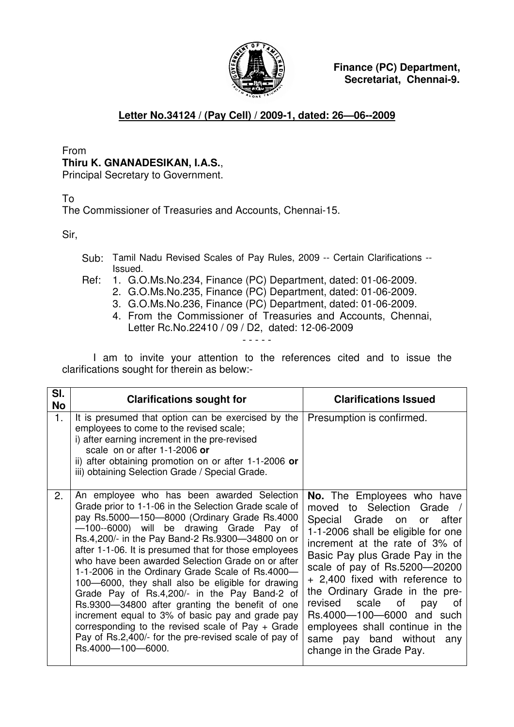

**Finance (PC) Department, Secretariat, Chennai-9.**

## **Letter No.34124 / (Pay Cell) / 2009-1, dated: 26—06--2009**

From

## **Thiru K. GNANADESIKAN, I.A.S.**,

Principal Secretary to Government.

To

The Commissioner of Treasuries and Accounts, Chennai-15.

Sir,

- Sub: Tamil Nadu Revised Scales of Pay Rules, 2009 -- Certain Clarifications -- Issued.
- Ref: 1. G.O.Ms.No.234, Finance (PC) Department, dated: 01-06-2009.
	- 2. G.O.Ms.No.235, Finance (PC) Department, dated: 01-06-2009.
	- 3. G.O.Ms.No.236, Finance (PC) Department, dated: 01-06-2009.
	- 4. From the Commissioner of Treasuries and Accounts, Chennai, Letter Rc.No.22410 / 09 / D2, dated: 12-06-2009 - - - - -

I am to invite your attention to the references cited and to issue the clarifications sought for therein as below:-

| SI.<br><b>No</b> | <b>Clarifications sought for</b>                                                                                                                                                                                                                                                                                                                                                                                                                                                                                                                                                                                                                                                                                                                                       | <b>Clarifications Issued</b>                                                                                                                                                                                                                                                                                                                                                                                                                                                  |
|------------------|------------------------------------------------------------------------------------------------------------------------------------------------------------------------------------------------------------------------------------------------------------------------------------------------------------------------------------------------------------------------------------------------------------------------------------------------------------------------------------------------------------------------------------------------------------------------------------------------------------------------------------------------------------------------------------------------------------------------------------------------------------------------|-------------------------------------------------------------------------------------------------------------------------------------------------------------------------------------------------------------------------------------------------------------------------------------------------------------------------------------------------------------------------------------------------------------------------------------------------------------------------------|
| 1.               | It is presumed that option can be exercised by the<br>employees to come to the revised scale;<br>i) after earning increment in the pre-revised<br>scale on or after 1-1-2006 or<br>ii) after obtaining promotion on or after 1-1-2006 or<br>iii) obtaining Selection Grade / Special Grade.                                                                                                                                                                                                                                                                                                                                                                                                                                                                            | Presumption is confirmed.                                                                                                                                                                                                                                                                                                                                                                                                                                                     |
| 2.               | An employee who has been awarded Selection<br>Grade prior to 1-1-06 in the Selection Grade scale of<br>pay Rs.5000-150-8000 (Ordinary Grade Rs.4000<br>-100--6000) will be drawing Grade Pay of<br>Rs.4,200/- in the Pay Band-2 Rs.9300-34800 on or<br>after 1-1-06. It is presumed that for those employees<br>who have been awarded Selection Grade on or after<br>1-1-2006 in the Ordinary Grade Scale of Rs.4000-<br>100–6000, they shall also be eligible for drawing<br>Grade Pay of Rs.4,200/- in the Pay Band-2 of<br>Rs.9300-34800 after granting the benefit of one<br>increment equal to 3% of basic pay and grade pay<br>corresponding to the revised scale of Pay $+$ Grade<br>Pay of Rs.2,400/- for the pre-revised scale of pay of<br>Rs.4000-100-6000. | <b>No.</b> The Employees who have<br>moved to Selection Grade /<br>Special Grade on or after<br>1-1-2006 shall be eligible for one<br>increment at the rate of 3% of<br>Basic Pay plus Grade Pay in the<br>scale of pay of Rs.5200-20200<br>+ 2,400 fixed with reference to<br>the Ordinary Grade in the pre-<br>revised scale<br>of<br>pay<br>0t<br>Rs.4000-100-6000 and such<br>employees shall continue in the<br>same pay band without<br>any<br>change in the Grade Pay. |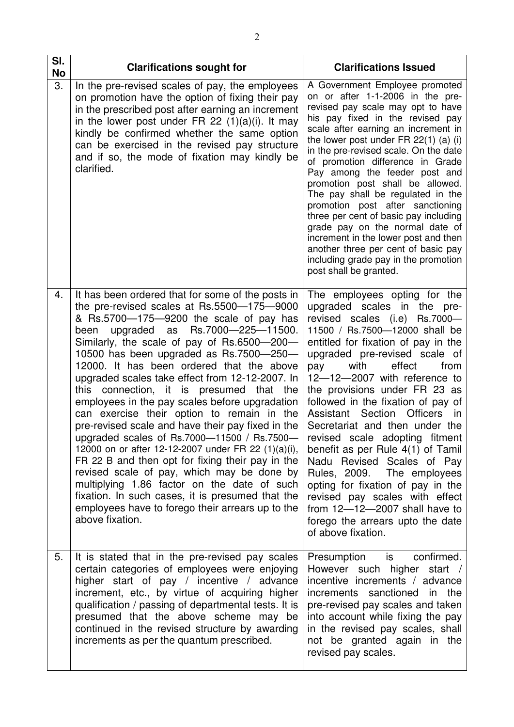| SI.<br>No | <b>Clarifications sought for</b>                                                                                                                                                                                                                                                                                                                                                                                                                                                                                                                                                                                                                                                                                                                                                                                                                                                                                                                                  | <b>Clarifications Issued</b>                                                                                                                                                                                                                                                                                                                                                                                                                                                                                                                                                                                                                                                                                                                 |
|-----------|-------------------------------------------------------------------------------------------------------------------------------------------------------------------------------------------------------------------------------------------------------------------------------------------------------------------------------------------------------------------------------------------------------------------------------------------------------------------------------------------------------------------------------------------------------------------------------------------------------------------------------------------------------------------------------------------------------------------------------------------------------------------------------------------------------------------------------------------------------------------------------------------------------------------------------------------------------------------|----------------------------------------------------------------------------------------------------------------------------------------------------------------------------------------------------------------------------------------------------------------------------------------------------------------------------------------------------------------------------------------------------------------------------------------------------------------------------------------------------------------------------------------------------------------------------------------------------------------------------------------------------------------------------------------------------------------------------------------------|
| 3.        | In the pre-revised scales of pay, the employees<br>on promotion have the option of fixing their pay<br>in the prescribed post after earning an increment<br>in the lower post under FR 22 $(1)(a)(i)$ . It may<br>kindly be confirmed whether the same option<br>can be exercised in the revised pay structure<br>and if so, the mode of fixation may kindly be<br>clarified.                                                                                                                                                                                                                                                                                                                                                                                                                                                                                                                                                                                     | A Government Employee promoted<br>on or after 1-1-2006 in the pre-<br>revised pay scale may opt to have<br>his pay fixed in the revised pay<br>scale after earning an increment in<br>the lower post under $FR 22(1)$ (a) (i)<br>in the pre-revised scale. On the date<br>of promotion difference in Grade<br>Pay among the feeder post and<br>promotion post shall be allowed.<br>The pay shall be regulated in the<br>promotion post after sanctioning<br>three per cent of basic pay including<br>grade pay on the normal date of<br>increment in the lower post and then<br>another three per cent of basic pay<br>including grade pay in the promotion<br>post shall be granted.                                                        |
| 4.        | It has been ordered that for some of the posts in<br>the pre-revised scales at Rs.5500-175-9000<br>& Rs.5700-175-9200 the scale of pay has<br>upgraded as Rs.7000-225-11500.<br>been<br>Similarly, the scale of pay of Rs.6500-200-<br>10500 has been upgraded as Rs.7500-250-<br>12000. It has been ordered that the above<br>upgraded scales take effect from 12-12-2007. In<br>this connection, it is presumed that the<br>employees in the pay scales before upgradation<br>can exercise their option to remain in the<br>pre-revised scale and have their pay fixed in the<br>upgraded scales of Rs.7000-11500 / Rs.7500-<br>12000 on or after 12-12-2007 under FR 22 (1)(a)(i),<br>FR 22 B and then opt for fixing their pay in the<br>revised scale of pay, which may be done by<br>multiplying 1.86 factor on the date of such<br>fixation. In such cases, it is presumed that the<br>employees have to forego their arrears up to the<br>above fixation. | The employees opting for the<br>upgraded<br>scales in<br>the<br>pre-<br>revised scales (i.e) Rs.7000-<br>11500 / Rs.7500-12000 shall be<br>entitled for fixation of pay in the<br>upgraded pre-revised scale of<br>effect<br>with<br>from<br>pay<br>12-12-2007 with reference to<br>the provisions under FR 23 as<br>followed in the fixation of pay of<br>Section Officers<br>Assistant<br>in.<br>Secretariat and then under the<br>revised scale adopting fitment<br>benefit as per Rule 4(1) of Tamil<br>Nadu Revised Scales of Pay<br>Rules, 2009. The employees<br>opting for fixation of pay in the<br>revised pay scales with effect<br>from $12 - 12 - 2007$ shall have to<br>forego the arrears upto the date<br>of above fixation. |
| 5.        | It is stated that in the pre-revised pay scales<br>certain categories of employees were enjoying<br>higher start of pay / incentive / advance<br>increment, etc., by virtue of acquiring higher<br>qualification / passing of departmental tests. It is<br>presumed that the above scheme may be<br>continued in the revised structure by awarding<br>increments as per the quantum prescribed.                                                                                                                                                                                                                                                                                                                                                                                                                                                                                                                                                                   | Presumption is<br>confirmed.<br>However such higher start /<br>incentive increments / advance<br>increments sanctioned in the<br>pre-revised pay scales and taken<br>into account while fixing the pay<br>in the revised pay scales, shall<br>not be granted again in the<br>revised pay scales.                                                                                                                                                                                                                                                                                                                                                                                                                                             |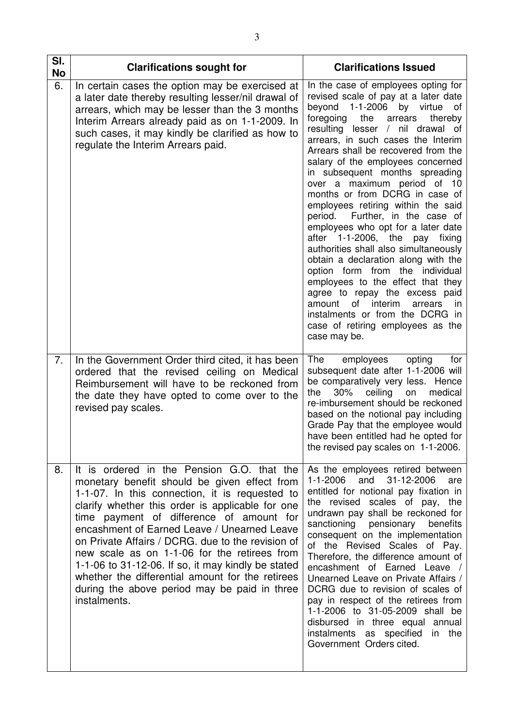| SI.<br><b>No</b> | <b>Clarifications sought for</b>                                                                                                                                                                                                                                                                                                                                                                                                                                                                                                                                              | <b>Clarifications Issued</b>                                                                                                                                                                                                                                                                                                                                                                                                                                                                                                                                                                                                                                                                                                                                                                                                                                                                         |
|------------------|-------------------------------------------------------------------------------------------------------------------------------------------------------------------------------------------------------------------------------------------------------------------------------------------------------------------------------------------------------------------------------------------------------------------------------------------------------------------------------------------------------------------------------------------------------------------------------|------------------------------------------------------------------------------------------------------------------------------------------------------------------------------------------------------------------------------------------------------------------------------------------------------------------------------------------------------------------------------------------------------------------------------------------------------------------------------------------------------------------------------------------------------------------------------------------------------------------------------------------------------------------------------------------------------------------------------------------------------------------------------------------------------------------------------------------------------------------------------------------------------|
| 6.               | In certain cases the option may be exercised at<br>a later date thereby resulting lesser/nil drawal of<br>arrears, which may be lesser than the 3 months<br>Interim Arrears already paid as on 1-1-2009. In<br>such cases, it may kindly be clarified as how to<br>regulate the Interim Arrears paid.                                                                                                                                                                                                                                                                         | In the case of employees opting for<br>revised scale of pay at a later date<br>beyond 1-1-2006<br>by virtue of<br>the<br>foregoing<br>thereby<br>arrears<br>resulting lesser / nil drawal of<br>arrears, in such cases the Interim<br>Arrears shall be recovered from the<br>salary of the employees concerned<br>in subsequent months spreading<br>over a maximum period of 10<br>months or from DCRG in case of<br>employees retiring within the said<br>period. Further, in the case of<br>employees who opt for a later date<br>after 1-1-2006, the<br>pay<br>fixing<br>authorities shall also simultaneously<br>obtain a declaration along with the<br>option form from the individual<br>employees to the effect that they<br>agree to repay the excess paid<br>of interim<br>amount<br>arrears<br>in.<br>instalments or from the DCRG in<br>case of retiring employees as the<br>case may be. |
| 7.               | In the Government Order third cited, it has been<br>ordered that the revised ceiling on Medical<br>Reimbursement will have to be reckoned from<br>the date they have opted to come over to the<br>revised pay scales.                                                                                                                                                                                                                                                                                                                                                         | The<br>employees<br>opting<br>for<br>subsequent date after 1-1-2006 will<br>be comparatively very less. Hence<br>30%<br>ceiling<br>the<br>medical<br>on<br>re-imbursement should be reckoned<br>based on the notional pay including<br>Grade Pay that the employee would<br>have been entitled had he opted for<br>the revised pay scales on 1-1-2006.                                                                                                                                                                                                                                                                                                                                                                                                                                                                                                                                               |
| 8.               | It is ordered in the Pension G.O. that the<br>monetary benefit should be given effect from<br>1-1-07. In this connection, it is requested to<br>clarify whether this order is applicable for one<br>time payment of difference of amount for<br>encashment of Earned Leave / Unearned Leave<br>on Private Affairs / DCRG. due to the revision of<br>new scale as on 1-1-06 for the retirees from<br>1-1-06 to $31-12-06$ . If so, it may kindly be stated<br>whether the differential amount for the retirees<br>during the above period may be paid in three<br>instalments. | As the employees retired between<br>and 31-12-2006<br>1-1-2006<br>are<br>entitled for notional pay fixation in<br>the revised scales of pay, the<br>undrawn pay shall be reckoned for<br>sanctioning pensionary<br>benefits<br>consequent on the implementation<br>of the Revised Scales of Pay.<br>Therefore, the difference amount of<br>encashment of Earned Leave /<br>Unearned Leave on Private Affairs /<br>DCRG due to revision of scales of<br>pay in respect of the retirees from<br>1-1-2006 to 31-05-2009 shall be<br>disbursed in three equal annual<br>instalments as specified in the<br>Government Orders cited.                                                                                                                                                                                                                                                                      |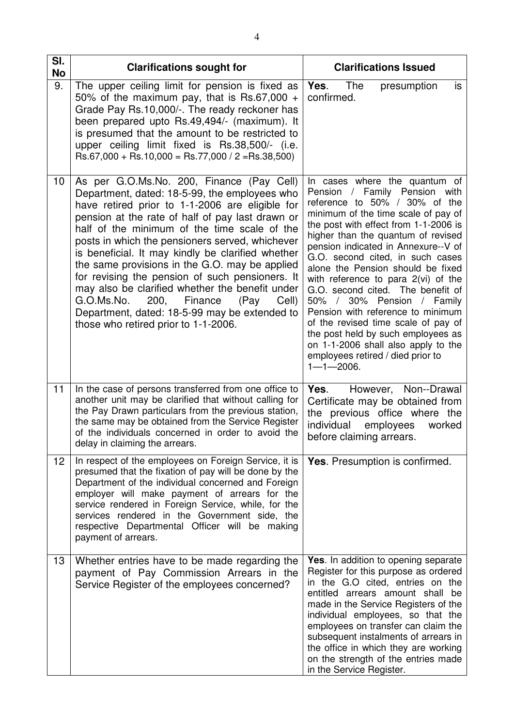| SI.<br><b>No</b> | <b>Clarifications sought for</b>                                                                                                                                                                                                                                                                                                                                                                                                                                                                                                                                                                                                                           | <b>Clarifications Issued</b>                                                                                                                                                                                                                                                                                                                                                                                                                                                                                                                                                                                                                                      |
|------------------|------------------------------------------------------------------------------------------------------------------------------------------------------------------------------------------------------------------------------------------------------------------------------------------------------------------------------------------------------------------------------------------------------------------------------------------------------------------------------------------------------------------------------------------------------------------------------------------------------------------------------------------------------------|-------------------------------------------------------------------------------------------------------------------------------------------------------------------------------------------------------------------------------------------------------------------------------------------------------------------------------------------------------------------------------------------------------------------------------------------------------------------------------------------------------------------------------------------------------------------------------------------------------------------------------------------------------------------|
| 9.               | The upper ceiling limit for pension is fixed as<br>50% of the maximum pay, that is Rs.67,000 $+$<br>Grade Pay Rs.10,000/-. The ready reckoner has<br>been prepared upto Rs.49,494/- (maximum). It<br>is presumed that the amount to be restricted to<br>upper ceiling limit fixed is Rs.38,500/- (i.e.<br>$\text{Rs.67,000} + \text{Rs.10,000} = \text{Rs.77,000} / 2 = \text{Rs.38,500}$                                                                                                                                                                                                                                                                  | <b>The</b><br>Yes.<br>is.<br>presumption<br>confirmed.                                                                                                                                                                                                                                                                                                                                                                                                                                                                                                                                                                                                            |
| 10               | As per G.O.Ms.No. 200, Finance (Pay Cell)<br>Department, dated: 18-5-99, the employees who<br>have retired prior to 1-1-2006 are eligible for<br>pension at the rate of half of pay last drawn or<br>half of the minimum of the time scale of the<br>posts in which the pensioners served, whichever<br>is beneficial. It may kindly be clarified whether<br>the same provisions in the G.O. may be applied<br>for revising the pension of such pensioners. It<br>may also be clarified whether the benefit under<br>200, Finance<br>G.O.Ms.No.<br>(Pay)<br>Cell)<br>Department, dated: 18-5-99 may be extended to<br>those who retired prior to 1-1-2006. | In cases where the quantum of<br>Pension / Family Pension with<br>reference to 50% / 30% of the<br>minimum of the time scale of pay of<br>the post with effect from 1-1-2006 is<br>higher than the quantum of revised<br>pension indicated in Annexure--V of<br>G.O. second cited, in such cases<br>alone the Pension should be fixed<br>with reference to para 2(vi) of the<br>G.O. second cited. The benefit of<br>50% / 30% Pension / Family<br>Pension with reference to minimum<br>of the revised time scale of pay of<br>the post held by such employees as<br>on 1-1-2006 shall also apply to the<br>employees retired / died prior to<br>$1 - 1 - 2006$ . |
| 11               | In the case of persons transferred from one office to<br>another unit may be clarified that without calling for<br>the Pay Drawn particulars from the previous station,<br>the same may be obtained from the Service Register<br>of the individuals concerned in order to avoid the<br>delay in claiming the arrears.                                                                                                                                                                                                                                                                                                                                      | Yes.<br>However, Non--Drawal<br>Certificate may be obtained from<br>the previous office where the<br>individual employees<br>worked<br>before claiming arrears.                                                                                                                                                                                                                                                                                                                                                                                                                                                                                                   |
| 12               | In respect of the employees on Foreign Service, it is<br>presumed that the fixation of pay will be done by the<br>Department of the individual concerned and Foreign<br>employer will make payment of arrears for the<br>service rendered in Foreign Service, while, for the<br>services rendered in the Government side, the<br>respective Departmental Officer will be making<br>payment of arrears.                                                                                                                                                                                                                                                     | <b>Yes.</b> Presumption is confirmed.                                                                                                                                                                                                                                                                                                                                                                                                                                                                                                                                                                                                                             |
| 13               | Whether entries have to be made regarding the<br>payment of Pay Commission Arrears in the<br>Service Register of the employees concerned?                                                                                                                                                                                                                                                                                                                                                                                                                                                                                                                  | Yes. In addition to opening separate<br>Register for this purpose as ordered<br>in the G.O cited, entries on the<br>entitled arrears amount shall be<br>made in the Service Registers of the<br>individual employees, so that the<br>employees on transfer can claim the<br>subsequent instalments of arrears in<br>the office in which they are working<br>on the strength of the entries made<br>in the Service Register.                                                                                                                                                                                                                                       |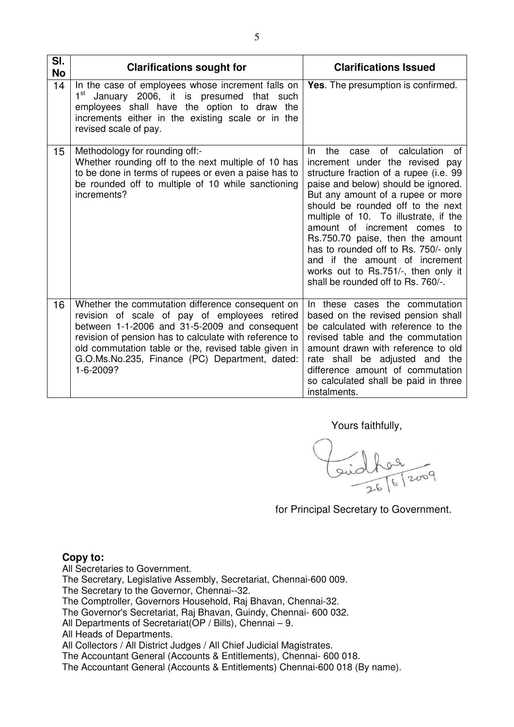| SI.<br><b>No</b> | <b>Clarifications sought for</b>                                                                                                                                                                                                                                                                                                    | <b>Clarifications Issued</b>                                                                                                                                                                                                                                                                                                                                                                                                                                                                           |
|------------------|-------------------------------------------------------------------------------------------------------------------------------------------------------------------------------------------------------------------------------------------------------------------------------------------------------------------------------------|--------------------------------------------------------------------------------------------------------------------------------------------------------------------------------------------------------------------------------------------------------------------------------------------------------------------------------------------------------------------------------------------------------------------------------------------------------------------------------------------------------|
| 14               | In the case of employees whose increment falls on<br>$1^{\rm st}$<br>January 2006, it is presumed that such<br>employees shall have the option to draw the<br>increments either in the existing scale or in the<br>revised scale of pay.                                                                                            | <b>Yes.</b> The presumption is confirmed.                                                                                                                                                                                                                                                                                                                                                                                                                                                              |
| 15               | Methodology for rounding off:-<br>Whether rounding off to the next multiple of 10 has<br>to be done in terms of rupees or even a paise has to<br>be rounded off to multiple of 10 while sanctioning<br>increments?                                                                                                                  | the case of calculation<br>of<br>In.<br>increment under the revised pay<br>structure fraction of a rupee (i.e. 99<br>paise and below) should be ignored.<br>But any amount of a rupee or more<br>should be rounded off to the next<br>multiple of 10. To illustrate, if the<br>amount of increment comes to<br>Rs.750.70 paise, then the amount<br>has to rounded off to Rs. 750/- only<br>and if the amount of increment<br>works out to Rs.751/-, then only it<br>shall be rounded off to Rs. 760/-. |
| 16               | Whether the commutation difference consequent on<br>revision of scale of pay of employees retired<br>between 1-1-2006 and 31-5-2009 and consequent<br>revision of pension has to calculate with reference to<br>old commutation table or the, revised table given in<br>G.O.Ms.No.235, Finance (PC) Department, dated:<br>1-6-2009? | In these cases the commutation<br>based on the revised pension shall<br>be calculated with reference to the<br>revised table and the commutation<br>amount drawn with reference to old<br>rate shall be adjusted and the<br>difference amount of commutation<br>so calculated shall be paid in three<br>instalments.                                                                                                                                                                                   |

Yours faithfully,

Guidhou

for Principal Secretary to Government.

## **Copy to:**

All Secretaries to Government.

The Secretary, Legislative Assembly, Secretariat, Chennai-600 009.

The Secretary to the Governor, Chennai--32.

The Comptroller, Governors Household, Raj Bhavan, Chennai-32.

The Governor's Secretariat, Raj Bhavan, Guindy, Chennai- 600 032.

All Departments of Secretariat(OP / Bills), Chennai – 9.

All Heads of Departments.

All Collectors / All District Judges / All Chief Judicial Magistrates.

The Accountant General (Accounts & Entitlements), Chennai- 600 018.

The Accountant General (Accounts & Entitlements) Chennai-600 018 (By name).